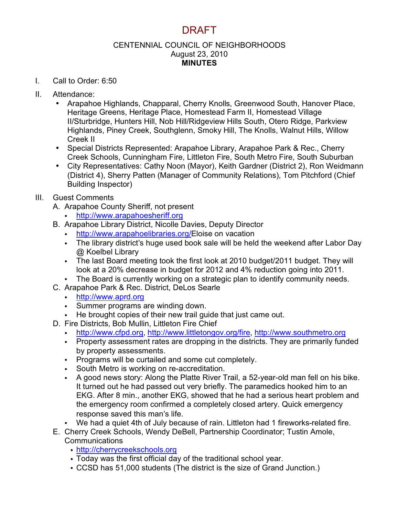# DRAFT

#### CENTENNIAL COUNCIL OF NEIGHBORHOODS August 23, 2010 **MINUTES**

- I. Call to Order: 6:50
- II. Attendance:
	- Arapahoe Highlands, Chapparal, Cherry Knolls, Greenwood South, Hanover Place, Heritage Greens, Heritage Place, Homestead Farm II, Homestead Village II/Sturbridge, Hunters Hill, Nob Hill/Ridgeview Hills South, Otero Ridge, Parkview Highlands, Piney Creek, Southglenn, Smoky Hill, The Knolls, Walnut Hills, Willow Creek II
	- Special Districts Represented: Arapahoe Library, Arapahoe Park & Rec., Cherry Creek Schools, Cunningham Fire, Littleton Fire, South Metro Fire, South Suburban
	- City Representatives: Cathy Noon (Mayor), Keith Gardner (District 2), Ron Weidmann (District 4), Sherry Patten (Manager of Community Relations), Tom Pitchford (Chief Building Inspector)

## III. Guest Comments

- A. Arapahoe County Sheriff, not present
	- http://www.arapahoesheriff.org
- B. Arapahoe Library District, Nicolle Davies, Deputy Director
	- http://www.arapahoelibraries.org/Eloise on vacation
	- The library district's huge used book sale will be held the weekend after Labor Day @ Koelbel Library
	- The last Board meeting took the first look at 2010 budget/2011 budget. They will look at a 20% decrease in budget for 2012 and 4% reduction going into 2011.
	- The Board is currently working on a strategic plan to identify community needs.
- C. Arapahoe Park & Rec. District, DeLos Searle
	- http://www.aprd.org
	- Summer programs are winding down.
	- He brought copies of their new trail guide that just came out.
- D. Fire Districts, Bob Mullin, Littleton Fire Chief
	- http://www.cfpd.org, http://www.littletongov.org/fire, http://www.southmetro.org
	- Property assessment rates are dropping in the districts. They are primarily funded by property assessments.
	- Programs will be curtailed and some cut completely.
	- South Metro is working on re-accreditation.
	- A good news story: Along the Platte River Trail, a 52-year-old man fell on his bike. It turned out he had passed out very briefly. The paramedics hooked him to an EKG. After 8 min., another EKG, showed that he had a serious heart problem and the emergency room confirmed a completely closed artery. Quick emergency response saved this man's life.
	- We had a quiet 4th of July because of rain. Littleton had 1 fireworks-related fire.
- E. Cherry Creek Schools, Wendy DeBell, Partnership Coordinator; Tustin Amole, **Communications** 
	- http://cherrycreekschools.org
	- Today was the first official day of the traditional school year.
	- CCSD has 51,000 students (The district is the size of Grand Junction.)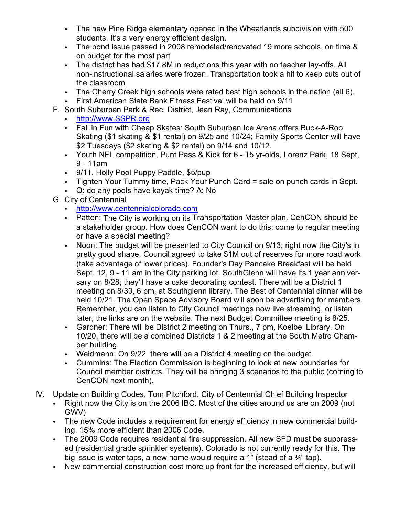- The new Pine Ridge elementary opened in the Wheatlands subdivision with 500 students. It's a very energy efficient design.
- The bond issue passed in 2008 remodeled/renovated 19 more schools, on time & on budget for the most part
- The district has had \$17.8M in reductions this year with no teacher lay-offs. All non-instructional salaries were frozen. Transportation took a hit to keep cuts out of the classroom
- The Cherry Creek high schools were rated best high schools in the nation (all 6).<br>• First American State Bank Fitness Festival will be held on 9/11
- First American State Bank Fitness Festival will be held on 9/11
- F. South Suburban Park & Rec. District, Jean Ray, Communications
	- http://www.SSPR.org
	- Fall in Fun with Cheap Skates: South Suburban Ice Arena offers Buck-A-Roo Skating (\$1 skating & \$1 rental) on 9/25 and 10/24; Family Sports Center will have \$2 Tuesdays (\$2 skating & \$2 rental) on 9/14 and 10/12.
	- Youth NFL competition, Punt Pass & Kick for 6 15 yr-olds, Lorenz Park, 18 Sept, 9 - 11am
	- 9/11, Holly Pool Puppy Paddle, \$5/pup
	- Tighten Your Tummy time, Pack Your Punch Card = sale on punch cards in Sept.
	- Q: do any pools have kayak time? A: No
- G. City of Centennial
	- http://www.centennialcolorado.com
	- Patten: The City is working on its Transportation Master plan. CenCON should be a stakeholder group. How does CenCON want to do this: come to regular meeting or have a special meeting?
	- Noon: The budget will be presented to City Council on 9/13; right now the City's in pretty good shape. Council agreed to take \$1M out of reserves for more road work (take advantage of lower prices). Founder's Day Pancake Breakfast will be held Sept. 12, 9 - 11 am in the City parking lot. SouthGlenn will have its 1 year anniversary on 8/28; they'll have a cake decorating contest. There will be a District 1 meeting on 8/30, 6 pm, at Southglenn library. The Best of Centennial dinner will be held 10/21. The Open Space Advisory Board will soon be advertising for members. Remember, you can listen to City Council meetings now live streaming, or listen later, the links are on the website. The next Budget Committee meeting is 8/25.
	- Gardner: There will be District 2 meeting on Thurs., 7 pm, Koelbel Library. On 10/20, there will be a combined Districts 1 & 2 meeting at the South Metro Chamber building.
	- Weidmann: On 9/22 there will be a District 4 meeting on the budget.
	- Cummins: The Election Commission is beginning to look at new boundaries for Council member districts. They will be bringing 3 scenarios to the public (coming to CenCON next month).
- IV. Update on Building Codes, Tom Pitchford, City of Centennial Chief Building Inspector
	- Right now the City is on the 2006 IBC. Most of the cities around us are on 2009 (not GWV)
	- The new Code includes a requirement for energy efficiency in new commercial building, 15% more efficient than 2006 Code.
	- The 2009 Code requires residential fire suppression. All new SFD must be suppressed (residential grade sprinkler systems). Colorado is not currently ready for this. The big issue is water taps, a new home would require a 1" (stead of a  $\frac{3}{4}$ " tap).
	- New commercial construction cost more up front for the increased efficiency, but will